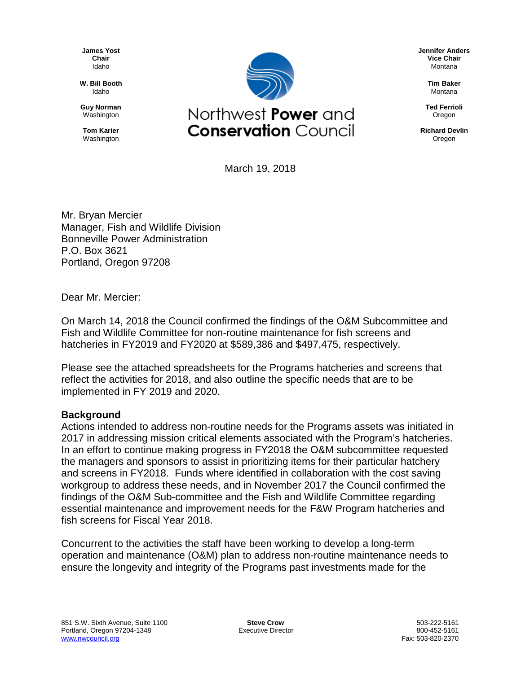**James Yost Chair** Idaho

**W. Bill Booth** Idaho

**Guy Norman** Washington

**Tom Karier** Washington



March 19, 2018

Mr. Bryan Mercier Manager, Fish and Wildlife Division Bonneville Power Administration P.O. Box 3621 Portland, Oregon 97208

Dear Mr. Mercier:

On March 14, 2018 the Council confirmed the findings of the O&M Subcommittee and Fish and Wildlife Committee for non-routine maintenance for fish screens and hatcheries in FY2019 and FY2020 at \$589,386 and \$497,475, respectively.

Please see the attached spreadsheets for the Programs hatcheries and screens that reflect the activities for 2018, and also outline the specific needs that are to be implemented in FY 2019 and 2020.

## **Background**

Actions intended to address non-routine needs for the Programs assets was initiated in 2017 in addressing mission critical elements associated with the Program's hatcheries. In an effort to continue making progress in FY2018 the O&M subcommittee requested the managers and sponsors to assist in prioritizing items for their particular hatchery and screens in FY2018. Funds where identified in collaboration with the cost saving workgroup to address these needs, and in November 2017 the Council confirmed the findings of the O&M Sub-committee and the Fish and Wildlife Committee regarding essential maintenance and improvement needs for the F&W Program hatcheries and fish screens for Fiscal Year 2018.

Concurrent to the activities the staff have been working to develop a long-term operation and maintenance (O&M) plan to address non-routine maintenance needs to ensure the longevity and integrity of the Programs past investments made for the

**Jennifer Anders Vice Chair** Montana

> **Tim Baker** Montana

**Ted Ferrioli** Oregon

**Richard Devlin** Oregon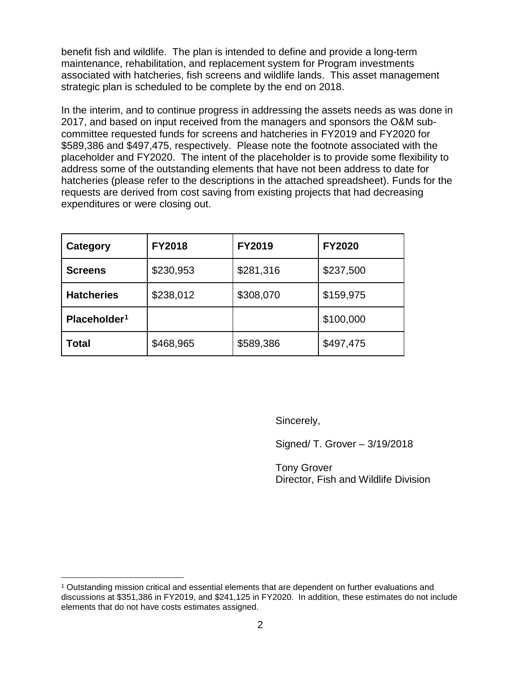benefit fish and wildlife. The plan is intended to define and provide a long-term maintenance, rehabilitation, and replacement system for Program investments associated with hatcheries, fish screens and wildlife lands. This asset management strategic plan is scheduled to be complete by the end on 2018.

In the interim, and to continue progress in addressing the assets needs as was done in 2017, and based on input received from the managers and sponsors the O&M subcommittee requested funds for screens and hatcheries in FY2019 and FY2020 for \$589,386 and \$497,475, respectively. Please note the footnote associated with the placeholder and FY2020. The intent of the placeholder is to provide some flexibility to address some of the outstanding elements that have not been address to date for hatcheries (please refer to the descriptions in the attached spreadsheet). Funds for the requests are derived from cost saving from existing projects that had decreasing expenditures or were closing out.

| Category                 | <b>FY2018</b> | <b>FY2019</b> | <b>FY2020</b> |
|--------------------------|---------------|---------------|---------------|
| <b>Screens</b>           | \$230,953     | \$281,316     | \$237,500     |
| <b>Hatcheries</b>        | \$238,012     | \$308,070     | \$159,975     |
| Placeholder <sup>1</sup> |               |               | \$100,000     |
| Total                    | \$468,965     | \$589,386     | \$497,475     |

Sincerely,

Signed/ T. Grover – 3/19/2018

Tony Grover Director, Fish and Wildlife Division

<span id="page-1-0"></span> <sup>1</sup> Outstanding mission critical and essential elements that are dependent on further evaluations and discussions at \$351,386 in FY2019, and \$241,125 in FY2020. In addition, these estimates do not include elements that do not have costs estimates assigned.